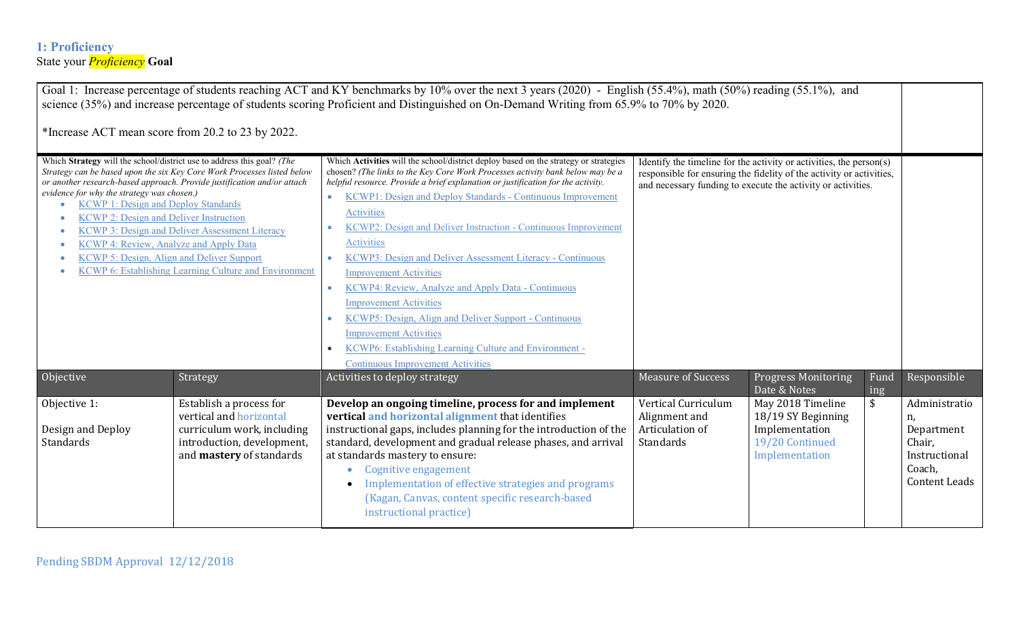### **1: Proficiency** State your *Proficiency* **Goal**

Goal 1: Increase percentage of students reaching ACT and KY benchmarks by 10% over the next 3 years (2020) - English (55.4%), math (50%) reading (55.1%), and science (35%) and increase percentage of students scoring Proficient and Distinguished on On-Demand Writing from 65.9% to 70% by 2020. \*Increase ACT mean score from 20.2 to 23 by 2022. Which **Strategy** will the school/district use to address this goal? *(The Strategy can be based upon the six Key Core Work Processes listed below or another research-based approach. Provide justification and/or attach evidence for why the strategy was chosen.)* • [KCWP 1: Design and Deploy Standards](http://education.ky.gov/school/csip/Documents/KCWP%201%20DesignandDeployStandards.pdf) • KCWP 2: Design and Deliver Instruction [KCWP 3: Design and Deliver Assessment Literacy](http://education.ky.gov/school/csip/Documents/KCWP%203%20DesignandDeliverAssessmentLiteracy.pdf) • [KCWP 4: Review, Analyze and Apply Data](http://education.ky.gov/school/csip/Documents/KCWP%204%20ReviewAnalyzeApplyData.pdf) [KCWP 5: Design, Align and Deliver Support](http://education.ky.gov/school/csip/Documents/KCWP%205%20DesignAlignDeliverSupport.pdf) [KCWP 6: Establishing Learning Culture and Environment](http://education.ky.gov/school/csip/Documents/KCWP%206%20EstablishingLearningCultureandEnvironment.pdf) Which **Activities** will the school/district deploy based on the strategy or strategies chosen? *(The links to the Key Core Work Processes activity bank below may be a helpful resource. Provide a brief explanation or justification for the activity.* • [KCWP1: Design and Deploy Standards -](http://education.ky.gov/school/csip/Documents/KCWP%201%20DesignandDeployStandards_CONTINUOUS%20IMPROVEMENT%20Activities.pdf) Continuous Improvement [Activities](http://education.ky.gov/school/csip/Documents/KCWP%201%20DesignandDeployStandards_CONTINUOUS%20IMPROVEMENT%20Activities.pdf) [KCWP2: Design and Deliver Instruction -](http://education.ky.gov/school/csip/Documents/KCWP%202%20DesignandDeliverInstruction_CONTINUOUS%20IMPROVEMENT%20Activities.pdf) Continuous Improvement **[Activities](http://education.ky.gov/school/csip/Documents/KCWP%202%20DesignandDeliverInstruction_CONTINUOUS%20IMPROVEMENT%20Activities.pdf)** • [KCWP3: Design and Deliver Assessment Literacy -](http://education.ky.gov/school/csip/Documents/KCWP%203%20DesignandDeliverAssessmentLiteracy_CONTINUOUS%20IMPROVEMENT%20Activities.pdf) Continuous [Improvement Activities](http://education.ky.gov/school/csip/Documents/KCWP%203%20DesignandDeliverAssessmentLiteracy_CONTINUOUS%20IMPROVEMENT%20Activities.pdf) • [KCWP4: Review, Analyze and Apply Data -](http://education.ky.gov/school/csip/Documents/KCWP%20%204%20Review%2c%20Analyze%2c%20and%20Apply%20Data_CONTINUOUS%20IMPROVEMENT%20Activities.pdf) Continuous [Improvement Activities](http://education.ky.gov/school/csip/Documents/KCWP%20%204%20Review%2c%20Analyze%2c%20and%20Apply%20Data_CONTINUOUS%20IMPROVEMENT%20Activities.pdf) [KCWP5: Design, Align and Deliver Support -](http://education.ky.gov/school/csip/Documents/KCWP%205%20DesignAlignDeliverSupport_CONTINUOUS%20IMPROVEMENT%20Activities.pdf) Continuous [Improvement Activities](http://education.ky.gov/school/csip/Documents/KCWP%205%20DesignAlignDeliverSupport_CONTINUOUS%20IMPROVEMENT%20Activities.pdf) [KCWP6: Establishing Learning Culture and Environment -](http://education.ky.gov/school/csip/Documents/KCWP%206%20EstablishingLearningCultureandEnvironment_CONTINUOUS%20IMPROVEMENT%20Activities.pdf) [Continuous Improvement Activities](http://education.ky.gov/school/csip/Documents/KCWP%206%20EstablishingLearningCultureandEnvironment_CONTINUOUS%20IMPROVEMENT%20Activities.pdf) Identify the timeline for the activity or activities, the person(s) responsible for ensuring the fidelity of the activity or activities, and necessary funding to execute the activity or activities. Objective Strategy Strategy Activities to deploy strategy Strategy Measure of Success Progress Monitoring Date & Notes Fund ing Responsible Objective 1: Design and Deploy Standards Establish a process for vertical and horizontal curriculum work, including introduction, development, and **mastery** of standards **Develop an ongoing timeline, process for and implement vertical and horizontal alignment** that identifies instructional gaps, includes planning for the introduction of the standard, development and gradual release phases, and arrival at standards mastery to ensure: • Cognitive engagement • Implementation of effective strategies and programs (Kagan, Canvas, content specific research-based instructional practice) Vertical Curriculum Alignment and Articulation of **Standards** May 2018 Timeline 18/19 SY Beginning Implementation 19/20 Continued Implementation \$ Administratio n, Department Chair, Instructional Coach, Content Leads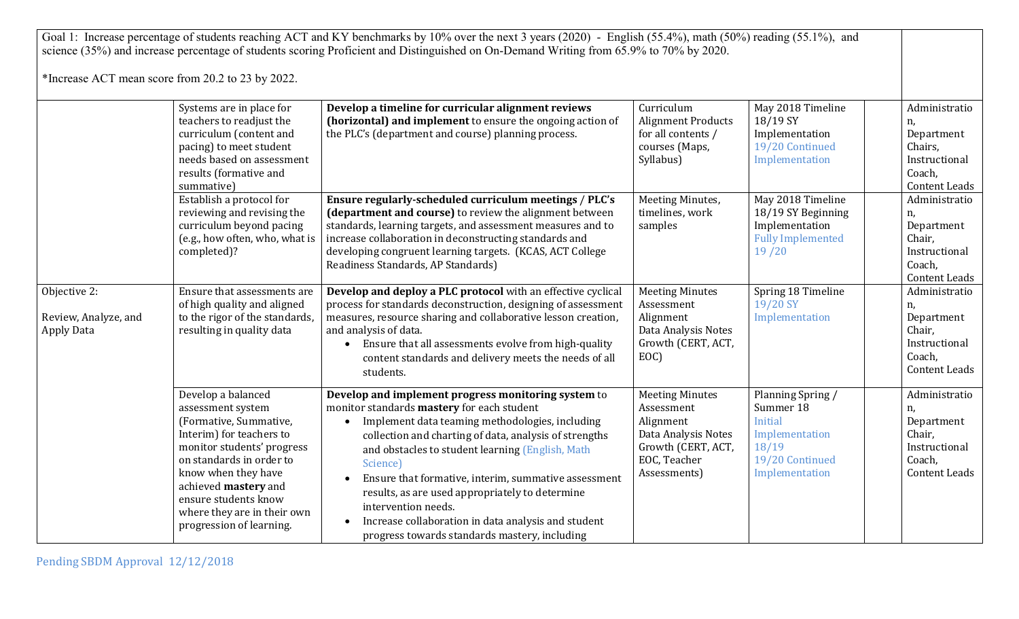| Goal 1: Increase percentage of students reaching ACT and KY benchmarks by 10% over the next 3 years (2020) - English (55.4%), math (50%) reading (55.1%), and<br>science (35%) and increase percentage of students scoring Proficient and Distinguished on On-Demand Writing from 65.9% to 70% by 2020.<br>*Increase ACT mean score from 20.2 to 23 by 2022. |                                                                                                                                                                                                                                                                                           |                                                                                                                                                                                                                                                                                                                                                                                                                                                                                                                          |                                                                                                                                |                                                                                                           |                                                                                                 |
|--------------------------------------------------------------------------------------------------------------------------------------------------------------------------------------------------------------------------------------------------------------------------------------------------------------------------------------------------------------|-------------------------------------------------------------------------------------------------------------------------------------------------------------------------------------------------------------------------------------------------------------------------------------------|--------------------------------------------------------------------------------------------------------------------------------------------------------------------------------------------------------------------------------------------------------------------------------------------------------------------------------------------------------------------------------------------------------------------------------------------------------------------------------------------------------------------------|--------------------------------------------------------------------------------------------------------------------------------|-----------------------------------------------------------------------------------------------------------|-------------------------------------------------------------------------------------------------|
|                                                                                                                                                                                                                                                                                                                                                              | Systems are in place for<br>teachers to readjust the<br>curriculum (content and<br>pacing) to meet student<br>needs based on assessment<br>results (formative and<br>summative)                                                                                                           | Develop a timeline for curricular alignment reviews<br>(horizontal) and implement to ensure the ongoing action of<br>the PLC's (department and course) planning process.                                                                                                                                                                                                                                                                                                                                                 | Curriculum<br><b>Alignment Products</b><br>for all contents /<br>courses (Maps,<br>Syllabus)                                   | May 2018 Timeline<br>18/19 SY<br>Implementation<br>19/20 Continued<br>Implementation                      | Administratio<br>n,<br>Department<br>Chairs,<br>Instructional<br>Coach,<br><b>Content Leads</b> |
|                                                                                                                                                                                                                                                                                                                                                              | Establish a protocol for<br>reviewing and revising the<br>curriculum beyond pacing<br>(e.g., how often, who, what is<br>completed)?                                                                                                                                                       | Ensure regularly-scheduled curriculum meetings / PLC's<br>(department and course) to review the alignment between<br>standards, learning targets, and assessment measures and to<br>increase collaboration in deconstructing standards and<br>developing congruent learning targets. (KCAS, ACT College<br>Readiness Standards, AP Standards)                                                                                                                                                                            | Meeting Minutes,<br>timelines, work<br>samples                                                                                 | May 2018 Timeline<br>18/19 SY Beginning<br>Implementation<br><b>Fully Implemented</b><br>19/20            | Administratio<br>n,<br>Department<br>Chair,<br>Instructional<br>Coach,<br><b>Content Leads</b>  |
| Objective 2:<br>Review, Analyze, and<br><b>Apply Data</b>                                                                                                                                                                                                                                                                                                    | Ensure that assessments are<br>of high quality and aligned<br>to the rigor of the standards,<br>resulting in quality data                                                                                                                                                                 | Develop and deploy a PLC protocol with an effective cyclical<br>process for standards deconstruction, designing of assessment<br>measures, resource sharing and collaborative lesson creation,<br>and analysis of data.<br>Ensure that all assessments evolve from high-quality<br>content standards and delivery meets the needs of all<br>students.                                                                                                                                                                    | <b>Meeting Minutes</b><br>Assessment<br>Alignment<br>Data Analysis Notes<br>Growth (CERT, ACT,<br>EOC)                         | Spring 18 Timeline<br>19/20 SY<br>Implementation                                                          | Administratio<br>n,<br>Department<br>Chair,<br>Instructional<br>Coach,<br><b>Content Leads</b>  |
|                                                                                                                                                                                                                                                                                                                                                              | Develop a balanced<br>assessment system<br>(Formative, Summative,<br>Interim) for teachers to<br>monitor students' progress<br>on standards in order to<br>know when they have<br>achieved mastery and<br>ensure students know<br>where they are in their own<br>progression of learning. | Develop and implement progress monitoring system to<br>monitor standards mastery for each student<br>Implement data teaming methodologies, including<br>collection and charting of data, analysis of strengths<br>and obstacles to student learning (English, Math<br>Science)<br>Ensure that formative, interim, summative assessment<br>results, as are used appropriately to determine<br>intervention needs.<br>Increase collaboration in data analysis and student<br>progress towards standards mastery, including | <b>Meeting Minutes</b><br>Assessment<br>Alignment<br>Data Analysis Notes<br>Growth (CERT, ACT,<br>EOC, Teacher<br>Assessments) | Planning Spring /<br>Summer 18<br>Initial<br>Implementation<br>18/19<br>19/20 Continued<br>Implementation | Administratio<br>n,<br>Department<br>Chair,<br>Instructional<br>Coach,<br><b>Content Leads</b>  |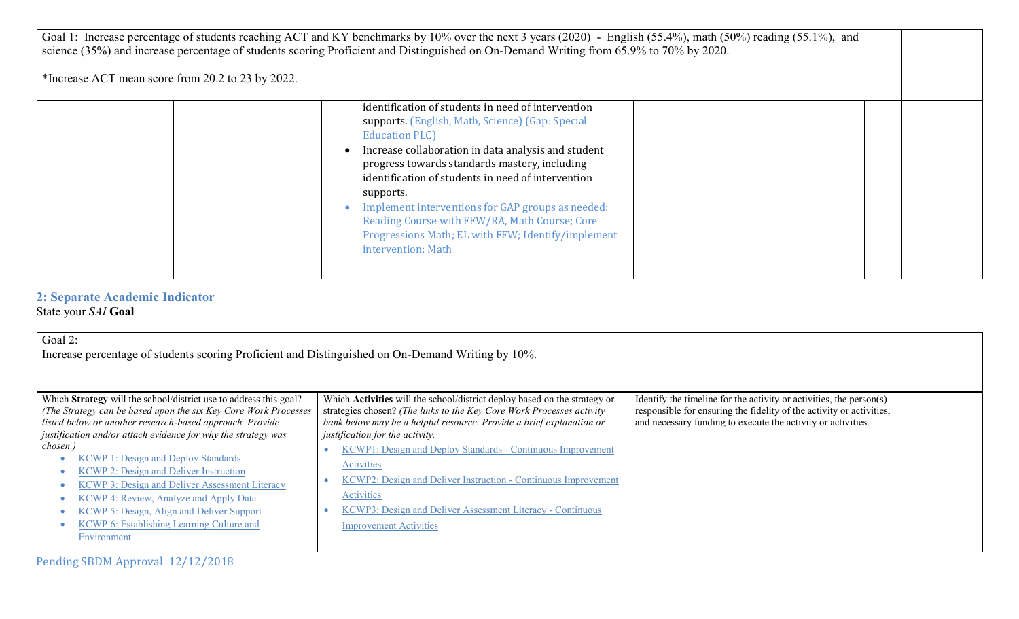| Goal 1: Increase percentage of students reaching ACT and KY benchmarks by 10% over the next 3 years (2020) - English (55.4%), math (50%) reading (55.1%), and<br>science (35%) and increase percentage of students scoring Proficient and Distinguished on On-Demand Writing from 65.9% to 70% by 2020.<br>*Increase ACT mean score from 20.2 to 23 by 2022. |                                                                                                                                                                                                                                                                                                                                                                                                                                                                                             |  |  |  |
|--------------------------------------------------------------------------------------------------------------------------------------------------------------------------------------------------------------------------------------------------------------------------------------------------------------------------------------------------------------|---------------------------------------------------------------------------------------------------------------------------------------------------------------------------------------------------------------------------------------------------------------------------------------------------------------------------------------------------------------------------------------------------------------------------------------------------------------------------------------------|--|--|--|
|                                                                                                                                                                                                                                                                                                                                                              | identification of students in need of intervention<br>supports. (English, Math, Science) (Gap: Special<br><b>Education PLC</b><br>Increase collaboration in data analysis and student<br>progress towards standards mastery, including<br>identification of students in need of intervention<br>supports.<br>Implement interventions for GAP groups as needed:<br>Reading Course with FFW/RA, Math Course; Core<br>Progressions Math; EL with FFW; Identify/implement<br>intervention; Math |  |  |  |

#### **2: Separate Academic Indicator** State your *SAI* **Goal**

| Goal 2:<br>Increase percentage of students scoring Proficient and Distinguished on On-Demand Writing by 10%.                                                                                                                                                                                                                                                                                                                                                                                                                                                                                           |                                                                                                                                                                                                                                                                                                                                                                                                                                                                                                                                         |                                                                                                                                                                                                             |  |
|--------------------------------------------------------------------------------------------------------------------------------------------------------------------------------------------------------------------------------------------------------------------------------------------------------------------------------------------------------------------------------------------------------------------------------------------------------------------------------------------------------------------------------------------------------------------------------------------------------|-----------------------------------------------------------------------------------------------------------------------------------------------------------------------------------------------------------------------------------------------------------------------------------------------------------------------------------------------------------------------------------------------------------------------------------------------------------------------------------------------------------------------------------------|-------------------------------------------------------------------------------------------------------------------------------------------------------------------------------------------------------------|--|
| Which Strategy will the school/district use to address this goal?<br>(The Strategy can be based upon the six Key Core Work Processes<br>listed below or another research-based approach. Provide<br>justification and/or attach evidence for why the strategy was<br>chosen.)<br><b>KCWP 1: Design and Deploy Standards</b><br><b>KCWP 2: Design and Deliver Instruction</b><br><b>KCWP 3: Design and Deliver Assessment Literacy</b><br><b>KCWP 4: Review, Analyze and Apply Data</b><br><b>KCWP 5: Design, Align and Deliver Support</b><br>KCWP 6: Establishing Learning Culture and<br>Environment | Which Activities will the school/district deploy based on the strategy or<br>strategies chosen? (The links to the Key Core Work Processes activity<br>bank below may be a helpful resource. Provide a brief explanation or<br>justification for the activity.<br>KCWP1: Design and Deploy Standards - Continuous Improvement<br><b>Activities</b><br>KCWP2: Design and Deliver Instruction - Continuous Improvement<br><b>Activities</b><br>KCWP3: Design and Deliver Assessment Literacy - Continuous<br><b>Improvement Activities</b> | Identify the timeline for the activity or activities, the person(s)<br>responsible for ensuring the fidelity of the activity or activities,<br>and necessary funding to execute the activity or activities. |  |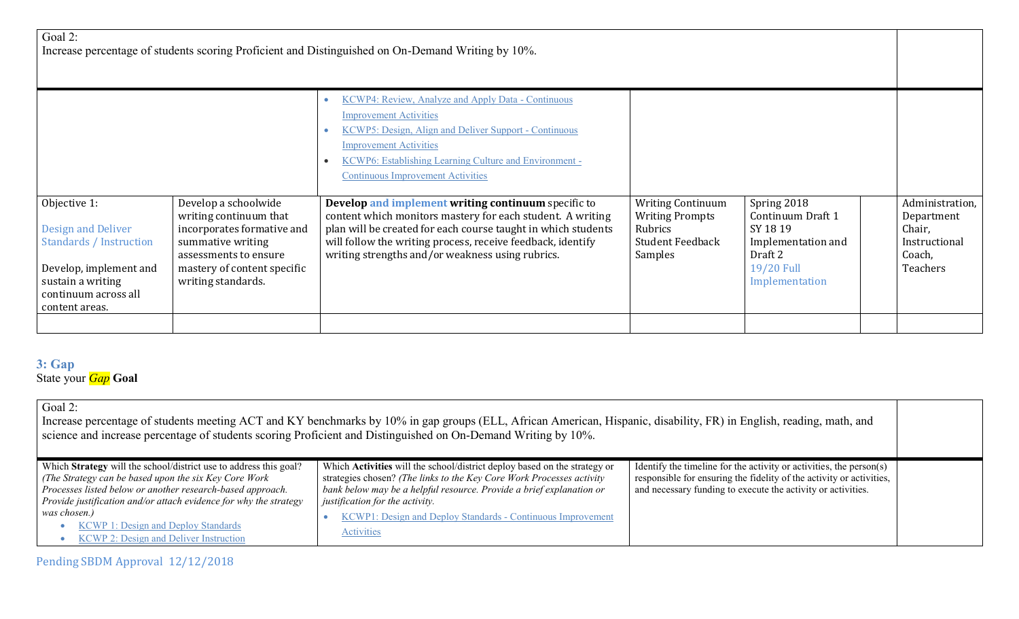| Goal 2:<br>Increase percentage of students scoring Proficient and Distinguished on On-Demand Writing by 10%.                                                  |                                                                                                                                                                                 |                                                                                                                                                                                                                                                                                                                                                   |                                                                                                     |                                                                                                              |  |                                                                                |
|---------------------------------------------------------------------------------------------------------------------------------------------------------------|---------------------------------------------------------------------------------------------------------------------------------------------------------------------------------|---------------------------------------------------------------------------------------------------------------------------------------------------------------------------------------------------------------------------------------------------------------------------------------------------------------------------------------------------|-----------------------------------------------------------------------------------------------------|--------------------------------------------------------------------------------------------------------------|--|--------------------------------------------------------------------------------|
|                                                                                                                                                               |                                                                                                                                                                                 | KCWP4: Review, Analyze and Apply Data - Continuous<br><b>Improvement Activities</b><br><b>KCWP5: Design, Align and Deliver Support - Continuous</b><br><b>Improvement Activities</b><br>KCWP6: Establishing Learning Culture and Environment -                                                                                                    |                                                                                                     |                                                                                                              |  |                                                                                |
| Objective 1:<br>Design and Deliver<br><b>Standards / Instruction</b><br>Develop, implement and<br>sustain a writing<br>continuum across all<br>content areas. | Develop a schoolwide<br>writing continuum that<br>incorporates formative and<br>summative writing<br>assessments to ensure<br>mastery of content specific<br>writing standards. | <b>Continuous Improvement Activities</b><br>Develop and implement writing continuum specific to<br>content which monitors mastery for each student. A writing<br>plan will be created for each course taught in which students<br>will follow the writing process, receive feedback, identify<br>writing strengths and/or weakness using rubrics. | <b>Writing Continuum</b><br><b>Writing Prompts</b><br>Rubrics<br><b>Student Feedback</b><br>Samples | Spring 2018<br>Continuum Draft 1<br>SY 1819<br>Implementation and<br>Draft 2<br>19/20 Full<br>Implementation |  | Administration,<br>Department<br>Chair,<br>Instructional<br>Coach,<br>Teachers |
|                                                                                                                                                               |                                                                                                                                                                                 |                                                                                                                                                                                                                                                                                                                                                   |                                                                                                     |                                                                                                              |  |                                                                                |

### **3: Gap** State your *Gap* **Goal**

| Goal 2:<br>Increase percentage of students meeting ACT and KY benchmarks by 10% in gap groups (ELL, African American, Hispanic, disability, FR) in English, reading, math, and<br>science and increase percentage of students scoring Proficient and Distinguished on On-Demand Writing by 10%.                                                                               |                                                                                                                                                                                                                                                                                                                                                   |                                                                                                                                                                                                             |  |  |
|-------------------------------------------------------------------------------------------------------------------------------------------------------------------------------------------------------------------------------------------------------------------------------------------------------------------------------------------------------------------------------|---------------------------------------------------------------------------------------------------------------------------------------------------------------------------------------------------------------------------------------------------------------------------------------------------------------------------------------------------|-------------------------------------------------------------------------------------------------------------------------------------------------------------------------------------------------------------|--|--|
| Which Strategy will the school/district use to address this goal?<br>(The Strategy can be based upon the six Key Core Work)<br>Processes listed below or another research-based approach.<br>Provide justification and/or attach evidence for why the strategy<br>was chosen.)<br><b>KCWP 1: Design and Deploy Standards</b><br><b>KCWP 2: Design and Deliver Instruction</b> | Which Activities will the school/district deploy based on the strategy or<br>strategies chosen? (The links to the Key Core Work Processes activity<br>bank below may be a helpful resource. Provide a brief explanation or<br>justification for the activity.<br>KCWP1: Design and Deploy Standards - Continuous Improvement<br><b>Activities</b> | Identify the timeline for the activity or activities, the person(s)<br>responsible for ensuring the fidelity of the activity or activities,<br>and necessary funding to execute the activity or activities. |  |  |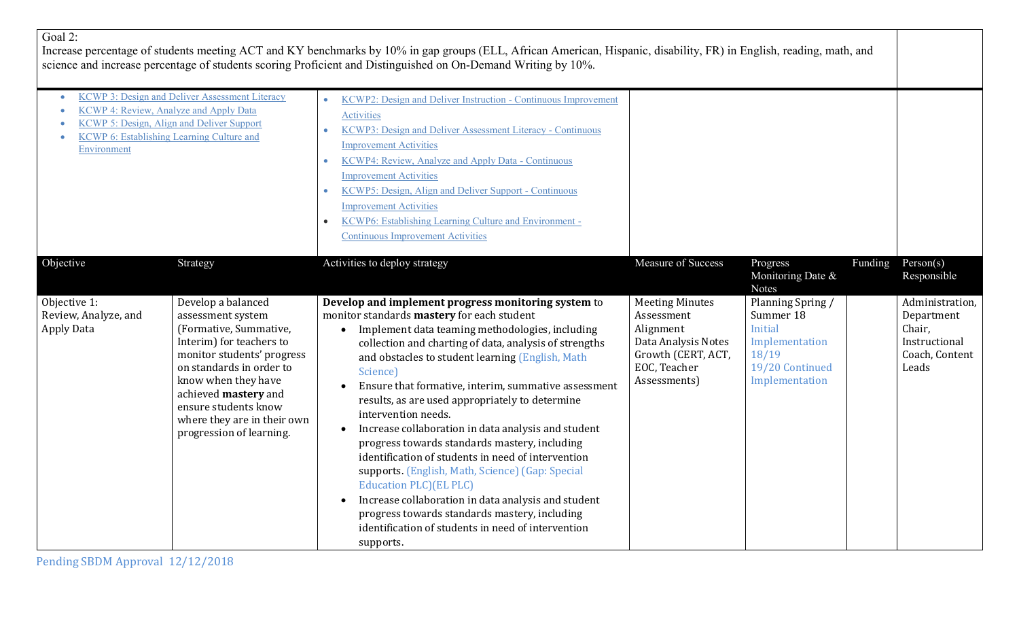| νаι<br>rc. |  |
|------------|--|
|------------|--|

Increase percentage of students meeting ACT and KY benchmarks by 10% in gap groups (ELL, African American, Hispanic, disability, FR) in English, reading, math, and science and increase percentage of students scoring Proficient and Distinguished on On-Demand Writing by 10%.

| <b>KCWP 4: Review, Analyze and Apply Data</b><br><b>KCWP 6: Establishing Learning Culture and</b><br><b>Environment</b> | <b>KCWP 3: Design and Deliver Assessment Literacy</b><br>KCWP 5: Design, Align and Deliver Support                                                                                                                                                                                        | KCWP2: Design and Deliver Instruction - Continuous Improvement<br>Activities<br>KCWP3: Design and Deliver Assessment Literacy - Continuous<br><b>Improvement Activities</b><br>KCWP4: Review, Analyze and Apply Data - Continuous<br><b>Improvement Activities</b><br>KCWP5: Design, Align and Deliver Support - Continuous<br>$\bullet$<br><b>Improvement Activities</b><br>KCWP6: Establishing Learning Culture and Environment -<br><b>Continuous Improvement Activities</b>                                                                                                                                                                                                                                                                                                                                                          |                                                                                                                                |                                                                                                                  |         |                                                                                     |
|-------------------------------------------------------------------------------------------------------------------------|-------------------------------------------------------------------------------------------------------------------------------------------------------------------------------------------------------------------------------------------------------------------------------------------|------------------------------------------------------------------------------------------------------------------------------------------------------------------------------------------------------------------------------------------------------------------------------------------------------------------------------------------------------------------------------------------------------------------------------------------------------------------------------------------------------------------------------------------------------------------------------------------------------------------------------------------------------------------------------------------------------------------------------------------------------------------------------------------------------------------------------------------|--------------------------------------------------------------------------------------------------------------------------------|------------------------------------------------------------------------------------------------------------------|---------|-------------------------------------------------------------------------------------|
| Objective                                                                                                               | Strategy                                                                                                                                                                                                                                                                                  | Activities to deploy strategy                                                                                                                                                                                                                                                                                                                                                                                                                                                                                                                                                                                                                                                                                                                                                                                                            | Measure of Success                                                                                                             | Progress<br>Monitoring Date &<br><b>Notes</b>                                                                    | Funding | Person(s)<br>Responsible                                                            |
| Objective 1:<br>Review, Analyze, and<br><b>Apply Data</b>                                                               | Develop a balanced<br>assessment system<br>(Formative, Summative,<br>Interim) for teachers to<br>monitor students' progress<br>on standards in order to<br>know when they have<br>achieved mastery and<br>ensure students know<br>where they are in their own<br>progression of learning. | Develop and implement progress monitoring system to<br>monitor standards mastery for each student<br>Implement data teaming methodologies, including<br>collection and charting of data, analysis of strengths<br>and obstacles to student learning (English, Math<br>Science)<br>Ensure that formative, interim, summative assessment<br>results, as are used appropriately to determine<br>intervention needs.<br>Increase collaboration in data analysis and student<br>progress towards standards mastery, including<br>identification of students in need of intervention<br>supports. (English, Math, Science) (Gap: Special<br>Education PLC) (EL PLC)<br>Increase collaboration in data analysis and student<br>progress towards standards mastery, including<br>identification of students in need of intervention<br>supports. | <b>Meeting Minutes</b><br>Assessment<br>Alignment<br>Data Analysis Notes<br>Growth (CERT, ACT,<br>EOC, Teacher<br>Assessments) | Planning Spring /<br>Summer 18<br><b>Initial</b><br>Implementation<br>18/19<br>19/20 Continued<br>Implementation |         | Administration,<br>Department<br>Chair,<br>Instructional<br>Coach, Content<br>Leads |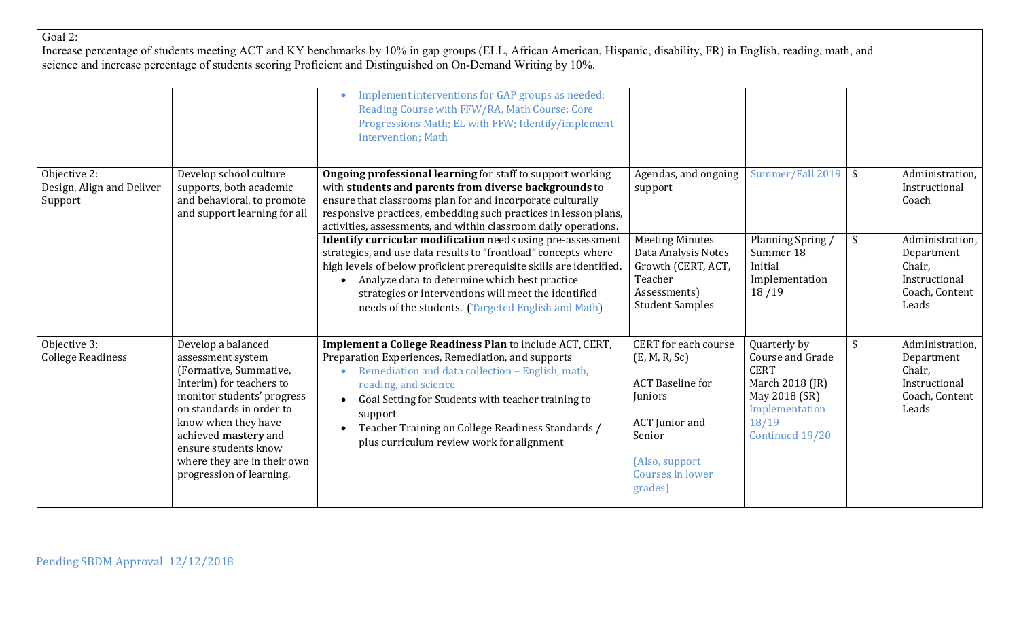| Goal 2:                                              |                                                                                                                                                                                                                                                                                           | Increase percentage of students meeting ACT and KY benchmarks by 10% in gap groups (ELL, African American, Hispanic, disability, FR) in English, reading, math, and<br>science and increase percentage of students scoring Proficient and Distinguished on On-Demand Writing by 10%.<br>Implement interventions for GAP groups as needed:<br>$\bullet$<br>Reading Course with FFW/RA, Math Course; Core<br>Progressions Math; EL with FFW; Identify/implement<br>intervention; Math                                                                                                                                                                                                                                       |                                                                                                                                                                 |                                                                                                                                   |               |                                                                                                                                  |
|------------------------------------------------------|-------------------------------------------------------------------------------------------------------------------------------------------------------------------------------------------------------------------------------------------------------------------------------------------|---------------------------------------------------------------------------------------------------------------------------------------------------------------------------------------------------------------------------------------------------------------------------------------------------------------------------------------------------------------------------------------------------------------------------------------------------------------------------------------------------------------------------------------------------------------------------------------------------------------------------------------------------------------------------------------------------------------------------|-----------------------------------------------------------------------------------------------------------------------------------------------------------------|-----------------------------------------------------------------------------------------------------------------------------------|---------------|----------------------------------------------------------------------------------------------------------------------------------|
| Objective 2:<br>Design, Align and Deliver<br>Support | Develop school culture<br>supports, both academic<br>and behavioral, to promote<br>and support learning for all                                                                                                                                                                           | <b>Ongoing professional learning</b> for staff to support working<br>with students and parents from diverse backgrounds to<br>ensure that classrooms plan for and incorporate culturally<br>responsive practices, embedding such practices in lesson plans,<br>activities, assessments, and within classroom daily operations.<br><b>Identify curricular modification</b> needs using pre-assessment<br>strategies, and use data results to "frontload" concepts where<br>high levels of below proficient prerequisite skills are identified.<br>Analyze data to determine which best practice<br>$\bullet$<br>strategies or interventions will meet the identified<br>needs of the students. (Targeted English and Math) | Agendas, and ongoing<br>support<br><b>Meeting Minutes</b><br>Data Analysis Notes<br>Growth (CERT, ACT,<br>Teacher<br>Assessments)<br><b>Student Samples</b>     | Summer/Fall 2019 \$<br>Planning Spring /<br>Summer 18<br>Initial<br>Implementation<br>18/19                                       | $\frac{1}{2}$ | Administration,<br>Instructional<br>Coach<br>Administration,<br>Department<br>Chair,<br>Instructional<br>Coach, Content<br>Leads |
| Objective 3:<br><b>College Readiness</b>             | Develop a balanced<br>assessment system<br>(Formative, Summative,<br>Interim) for teachers to<br>monitor students' progress<br>on standards in order to<br>know when they have<br>achieved mastery and<br>ensure students know<br>where they are in their own<br>progression of learning. | Implement a College Readiness Plan to include ACT, CERT,<br>Preparation Experiences, Remediation, and supports<br>Remediation and data collection - English, math,<br>reading, and science<br>Goal Setting for Students with teacher training to<br>support<br>Teacher Training on College Readiness Standards /<br>plus curriculum review work for alignment                                                                                                                                                                                                                                                                                                                                                             | CERT for each course<br>(E, M, R, Sc)<br><b>ACT</b> Baseline for<br>Juniors<br><b>ACT</b> Junior and<br>Senior<br>(Also, support<br>Courses in lower<br>grades) | Quarterly by<br>Course and Grade<br><b>CERT</b><br>March 2018 (JR)<br>May 2018 (SR)<br>Implementation<br>18/19<br>Continued 19/20 | \$            | Administration,<br>Department<br>Chair,<br>Instructional<br>Coach, Content<br>Leads                                              |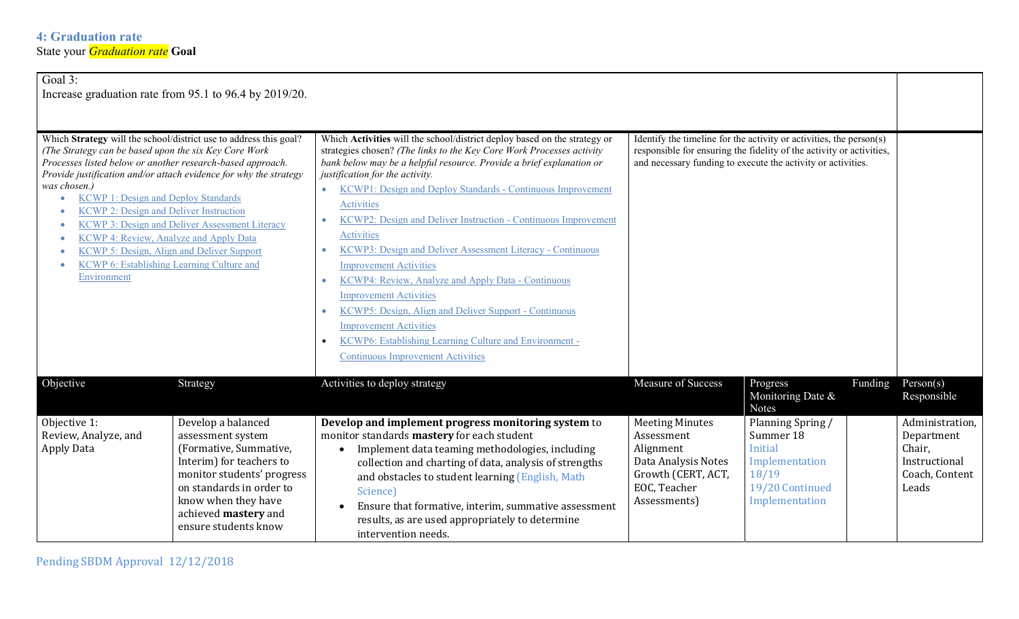| Goal 3:                                                                                                                                                                                                                                                                                                                                                                                                                                                                                                                                                                           | Increase graduation rate from 95.1 to 96.4 by 2019/20.                                                                                                                                                                         |                                                                                                                                                                                                                                                                                                                                                                                                                                                                                                                                                                                                                                                                                                                                                                                                                                                                                                 |                                                                                                                                                                                                             |                                                                                                                  |                                                                                     |
|-----------------------------------------------------------------------------------------------------------------------------------------------------------------------------------------------------------------------------------------------------------------------------------------------------------------------------------------------------------------------------------------------------------------------------------------------------------------------------------------------------------------------------------------------------------------------------------|--------------------------------------------------------------------------------------------------------------------------------------------------------------------------------------------------------------------------------|-------------------------------------------------------------------------------------------------------------------------------------------------------------------------------------------------------------------------------------------------------------------------------------------------------------------------------------------------------------------------------------------------------------------------------------------------------------------------------------------------------------------------------------------------------------------------------------------------------------------------------------------------------------------------------------------------------------------------------------------------------------------------------------------------------------------------------------------------------------------------------------------------|-------------------------------------------------------------------------------------------------------------------------------------------------------------------------------------------------------------|------------------------------------------------------------------------------------------------------------------|-------------------------------------------------------------------------------------|
| Which Strategy will the school/district use to address this goal?<br>(The Strategy can be based upon the six Key Core Work<br>Processes listed below or another research-based approach.<br>Provide justification and/or attach evidence for why the strategy<br>was chosen.)<br><b>KCWP 1: Design and Deploy Standards</b><br><b>KCWP 2: Design and Deliver Instruction</b><br>KCWP 3: Design and Deliver Assessment Literacy<br>KCWP 4: Review, Analyze and Apply Data<br>KCWP 5: Design, Align and Deliver Support<br>KCWP 6: Establishing Learning Culture and<br>Environment |                                                                                                                                                                                                                                | Which Activities will the school/district deploy based on the strategy or<br>strategies chosen? (The links to the Key Core Work Processes activity<br>bank below may be a helpful resource. Provide a brief explanation or<br>justification for the activity.<br><b>KCWP1: Design and Deploy Standards - Continuous Improvement</b><br>$\bullet$<br><b>Activities</b><br>KCWP2: Design and Deliver Instruction - Continuous Improvement<br>$\bullet$<br>Activities<br>KCWP3: Design and Deliver Assessment Literacy - Continuous<br>$\bullet$<br><b>Improvement Activities</b><br>KCWP4: Review, Analyze and Apply Data - Continuous<br>$\bullet$<br><b>Improvement Activities</b><br>KCWP5: Design, Align and Deliver Support - Continuous<br><b>Improvement Activities</b><br>KCWP6: Establishing Learning Culture and Environment -<br>$\bullet$<br><b>Continuous Improvement Activities</b> | Identify the timeline for the activity or activities, the person(s)<br>responsible for ensuring the fidelity of the activity or activities,<br>and necessary funding to execute the activity or activities. |                                                                                                                  |                                                                                     |
| Objective                                                                                                                                                                                                                                                                                                                                                                                                                                                                                                                                                                         | Strategy                                                                                                                                                                                                                       | Activities to deploy strategy                                                                                                                                                                                                                                                                                                                                                                                                                                                                                                                                                                                                                                                                                                                                                                                                                                                                   | Measure of Success                                                                                                                                                                                          | Funding<br>Progress<br>Monitoring Date &<br><b>Notes</b>                                                         | Person(s)<br>Responsible                                                            |
| Objective 1:<br>Review, Analyze, and<br><b>Apply Data</b>                                                                                                                                                                                                                                                                                                                                                                                                                                                                                                                         | Develop a balanced<br>assessment system<br>(Formative, Summative,<br>Interim) for teachers to<br>monitor students' progress<br>on standards in order to<br>know when they have<br>achieved mastery and<br>ensure students know | Develop and implement progress monitoring system to<br>monitor standards mastery for each student<br>Implement data teaming methodologies, including<br>collection and charting of data, analysis of strengths<br>and obstacles to student learning (English, Math<br>Science)<br>Ensure that formative, interim, summative assessment<br>results, as are used appropriately to determine<br>intervention needs.                                                                                                                                                                                                                                                                                                                                                                                                                                                                                | <b>Meeting Minutes</b><br>Assessment<br>Alignment<br>Data Analysis Notes<br>Growth (CERT, ACT,<br>EOC, Teacher<br>Assessments)                                                                              | Planning Spring /<br>Summer 18<br><b>Initial</b><br>Implementation<br>18/19<br>19/20 Continued<br>Implementation | Administration,<br>Department<br>Chair,<br>Instructional<br>Coach, Content<br>Leads |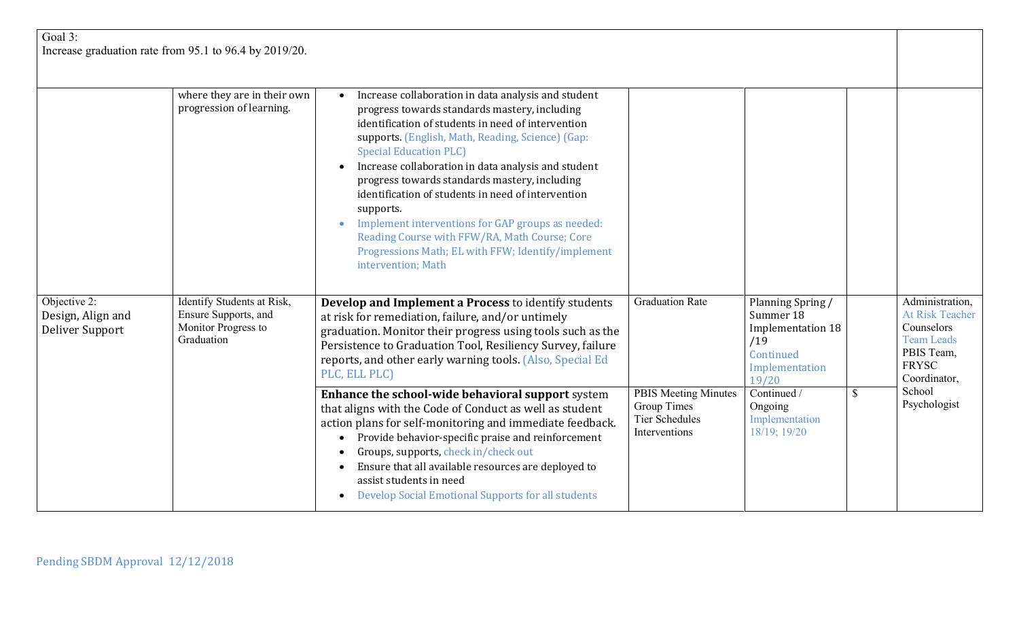| Goal $3$ :<br>Increase graduation rate from 95.1 to 96.4 by 2019/20. |                                                                                         |                                                                                                                                                                                                                                                                                                                                                                                                                                                                                                                                                                                                                                                      |                                                                                      |                                                                                                    |  |                                                                                                                            |
|----------------------------------------------------------------------|-----------------------------------------------------------------------------------------|------------------------------------------------------------------------------------------------------------------------------------------------------------------------------------------------------------------------------------------------------------------------------------------------------------------------------------------------------------------------------------------------------------------------------------------------------------------------------------------------------------------------------------------------------------------------------------------------------------------------------------------------------|--------------------------------------------------------------------------------------|----------------------------------------------------------------------------------------------------|--|----------------------------------------------------------------------------------------------------------------------------|
|                                                                      | where they are in their own<br>progression of learning.                                 | Increase collaboration in data analysis and student<br>$\bullet$<br>progress towards standards mastery, including<br>identification of students in need of intervention<br>supports. (English, Math, Reading, Science) (Gap:<br><b>Special Education PLC)</b><br>Increase collaboration in data analysis and student<br>$\bullet$<br>progress towards standards mastery, including<br>identification of students in need of intervention<br>supports.<br>Implement interventions for GAP groups as needed:<br>$\bullet$<br>Reading Course with FFW/RA, Math Course; Core<br>Progressions Math; EL with FFW; Identify/implement<br>intervention; Math |                                                                                      |                                                                                                    |  |                                                                                                                            |
| Objective 2:<br>Design, Align and<br>Deliver Support                 | Identify Students at Risk,<br>Ensure Supports, and<br>Monitor Progress to<br>Graduation | Develop and Implement a Process to identify students<br>at risk for remediation, failure, and/or untimely<br>graduation. Monitor their progress using tools such as the<br>Persistence to Graduation Tool, Resiliency Survey, failure<br>reports, and other early warning tools. (Also, Special Ed<br>PLC, ELL PLC)                                                                                                                                                                                                                                                                                                                                  | <b>Graduation Rate</b>                                                               | Planning Spring /<br>Summer 18<br>Implementation 18<br>/19<br>Continued<br>Implementation<br>19/20 |  | Administration,<br><b>At Risk Teacher</b><br>Counselors<br><b>Team Leads</b><br>PBIS Team,<br><b>FRYSC</b><br>Coordinator, |
|                                                                      |                                                                                         | Enhance the school-wide behavioral support system<br>that aligns with the Code of Conduct as well as student<br>action plans for self-monitoring and immediate feedback.<br>Provide behavior-specific praise and reinforcement<br>$\bullet$<br>Groups, supports, check in/check out<br>Ensure that all available resources are deployed to<br>assist students in need<br>Develop Social Emotional Supports for all students<br>$\bullet$                                                                                                                                                                                                             | <b>PBIS Meeting Minutes</b><br>Group Times<br><b>Tier Schedules</b><br>Interventions | Continued /<br>Ongoing<br>Implementation<br>18/19; 19/20                                           |  | School<br>Psychologist                                                                                                     |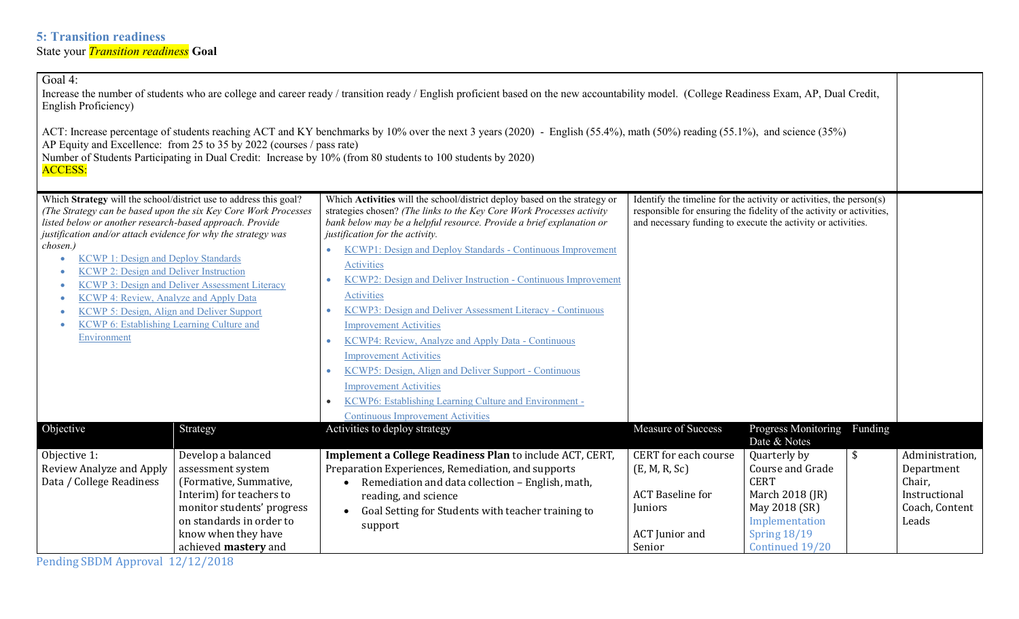| Goal 4:<br>Increase the number of students who are college and career ready / transition ready / English proficient based on the new accountability model. (College Readiness Exam, AP, Dual Credit,<br>English Proficiency)<br>ACT: Increase percentage of students reaching ACT and KY benchmarks by 10% over the next 3 years (2020) - English (55.4%), math (50%) reading (55.1%), and science (35%)<br>AP Equity and Excellence: from 25 to 35 by 2022 (courses / pass rate)<br>Number of Students Participating in Dual Credit: Increase by 10% (from 80 students to 100 students by 2020)<br><b>ACCESS:</b> |                                                                                                                                                                                                        |                                                                                                                                                                                                                                                                                                                                                                                                                                                                                                                                                                                                                                                                                                                                                                                                                                                         |                                                                                                                                                                                                             |                                                                                                                                                 |         |                                                                                     |
|--------------------------------------------------------------------------------------------------------------------------------------------------------------------------------------------------------------------------------------------------------------------------------------------------------------------------------------------------------------------------------------------------------------------------------------------------------------------------------------------------------------------------------------------------------------------------------------------------------------------|--------------------------------------------------------------------------------------------------------------------------------------------------------------------------------------------------------|---------------------------------------------------------------------------------------------------------------------------------------------------------------------------------------------------------------------------------------------------------------------------------------------------------------------------------------------------------------------------------------------------------------------------------------------------------------------------------------------------------------------------------------------------------------------------------------------------------------------------------------------------------------------------------------------------------------------------------------------------------------------------------------------------------------------------------------------------------|-------------------------------------------------------------------------------------------------------------------------------------------------------------------------------------------------------------|-------------------------------------------------------------------------------------------------------------------------------------------------|---------|-------------------------------------------------------------------------------------|
| Which Strategy will the school/district use to address this goal?<br>(The Strategy can be based upon the six Key Core Work Processes<br>listed below or another research-based approach. Provide<br>justification and/or attach evidence for why the strategy was<br>chosen.)<br><b>KCWP 1: Design and Deploy Standards</b><br>$\bullet$<br><b>KCWP 2: Design and Deliver Instruction</b><br><b>KCWP 3: Design and Deliver Assessment Literacy</b><br>KCWP 4: Review, Analyze and Apply Data<br>KCWP 5: Design, Align and Deliver Support<br>KCWP 6: Establishing Learning Culture and<br>Environment              |                                                                                                                                                                                                        | Which Activities will the school/district deploy based on the strategy or<br>strategies chosen? (The links to the Key Core Work Processes activity<br>bank below may be a helpful resource. Provide a brief explanation or<br>justification for the activity.<br>KCWP1: Design and Deploy Standards - Continuous Improvement<br>$\bullet$<br>Activities<br>KCWP2: Design and Deliver Instruction - Continuous Improvement<br>Activities<br>KCWP3: Design and Deliver Assessment Literacy - Continuous<br>$\bullet$<br><b>Improvement Activities</b><br>KCWP4: Review, Analyze and Apply Data - Continuous<br>$\bullet$<br><b>Improvement Activities</b><br>KCWP5: Design, Align and Deliver Support - Continuous<br><b>Improvement Activities</b><br>KCWP6: Establishing Learning Culture and Environment -<br><b>Continuous Improvement Activities</b> | Identify the timeline for the activity or activities, the person(s)<br>responsible for ensuring the fidelity of the activity or activities,<br>and necessary funding to execute the activity or activities. |                                                                                                                                                 |         |                                                                                     |
| Objective                                                                                                                                                                                                                                                                                                                                                                                                                                                                                                                                                                                                          | Strategy                                                                                                                                                                                               | Activities to deploy strategy                                                                                                                                                                                                                                                                                                                                                                                                                                                                                                                                                                                                                                                                                                                                                                                                                           | Measure of Success                                                                                                                                                                                          | Progress Monitoring<br>Date & Notes                                                                                                             | Funding |                                                                                     |
| Objective 1:<br>Review Analyze and Apply<br>Data / College Readiness                                                                                                                                                                                                                                                                                                                                                                                                                                                                                                                                               | Develop a balanced<br>assessment system<br>(Formative, Summative,<br>Interim) for teachers to<br>monitor students' progress<br>on standards in order to<br>know when they have<br>achieved mastery and | Implement a College Readiness Plan to include ACT, CERT,<br>Preparation Experiences, Remediation, and supports<br>Remediation and data collection - English, math,<br>$\bullet$<br>reading, and science<br>Goal Setting for Students with teacher training to<br>support                                                                                                                                                                                                                                                                                                                                                                                                                                                                                                                                                                                | <b>CERT</b> for each course<br>(E, M, R, Sc)<br><b>ACT</b> Baseline for<br>Juniors<br><b>ACT</b> Junior and<br>Senior                                                                                       | Quarterly by<br>Course and Grade<br><b>CERT</b><br>March 2018 (JR)<br>May 2018 (SR)<br>Implementation<br><b>Spring 18/19</b><br>Continued 19/20 | \$      | Administration,<br>Department<br>Chair,<br>Instructional<br>Coach, Content<br>Leads |

Pending SBDM Approval 12/12/2018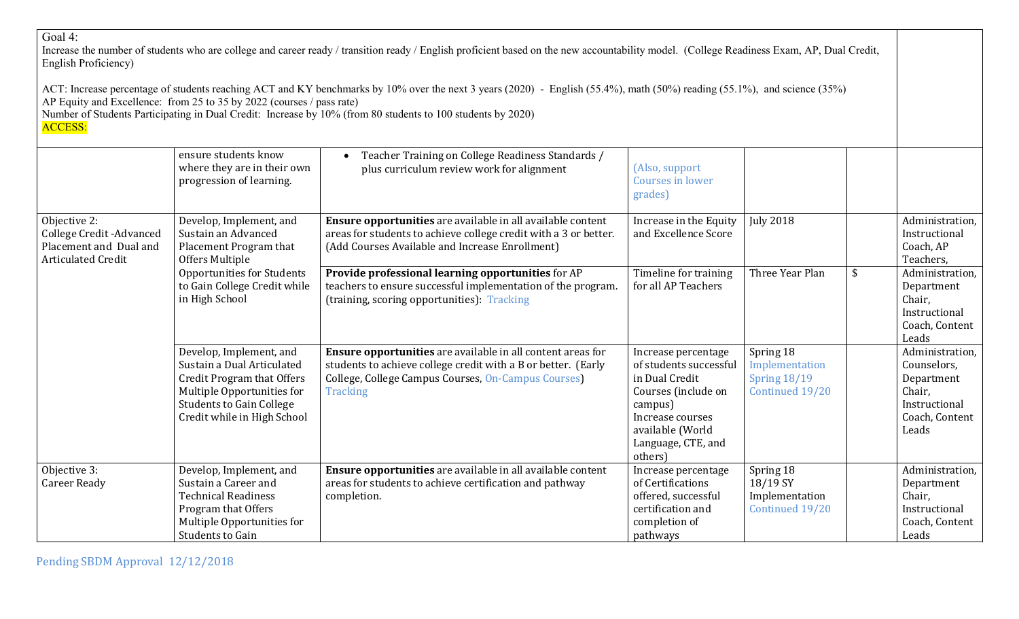## Goal 4:

Increase the number of students who are college and career ready / transition ready / English proficient based on the new accountability model. (College Readiness Exam, AP, Dual Credit, English Proficiency)

ACT: Increase percentage of students reaching ACT and KY benchmarks by 10% over the next 3 years (2020) - English (55.4%), math (50%) reading (55.1%), and science (35%) AP Equity and Excellence: from 25 to 35 by 2022 (courses / pass rate)

Number of Students Participating in Dual Credit: Increase by 10% (from 80 students to 100 students by 2020)

# ACCESS:

|                                                                                                  | ensure students know<br>where they are in their own<br>progression of learning.                                                                                                            | Teacher Training on College Readiness Standards /<br>plus curriculum review work for alignment                                                                                                         | (Also, support<br>Courses in lower<br>grades)                                                                                                                              |                                                                       |                                                                                                    |
|--------------------------------------------------------------------------------------------------|--------------------------------------------------------------------------------------------------------------------------------------------------------------------------------------------|--------------------------------------------------------------------------------------------------------------------------------------------------------------------------------------------------------|----------------------------------------------------------------------------------------------------------------------------------------------------------------------------|-----------------------------------------------------------------------|----------------------------------------------------------------------------------------------------|
| Objective 2:<br>College Credit - Advanced<br>Placement and Dual and<br><b>Articulated Credit</b> | Develop, Implement, and<br>Sustain an Advanced<br>Placement Program that<br>Offers Multiple                                                                                                | Ensure opportunities are available in all available content<br>areas for students to achieve college credit with a 3 or better.<br>(Add Courses Available and Increase Enrollment)                     | Increase in the Equity<br>and Excellence Score                                                                                                                             | <b>July 2018</b>                                                      | Administration,<br>Instructional<br>Coach, AP<br>Teachers,                                         |
|                                                                                                  | <b>Opportunities for Students</b><br>to Gain College Credit while<br>in High School                                                                                                        | Provide professional learning opportunities for AP<br>teachers to ensure successful implementation of the program.<br>(training, scoring opportunities): Tracking                                      | Timeline for training<br>for all AP Teachers                                                                                                                               | $\boldsymbol{\mathsf{S}}$<br>Three Year Plan                          | Administration<br>Department<br>Chair,<br>Instructional<br>Coach, Content<br>Leads                 |
|                                                                                                  | Develop, Implement, and<br>Sustain a Dual Articulated<br><b>Credit Program that Offers</b><br>Multiple Opportunities for<br><b>Students to Gain College</b><br>Credit while in High School | Ensure opportunities are available in all content areas for<br>students to achieve college credit with a B or better. (Early<br>College, College Campus Courses, On-Campus Courses)<br><b>Tracking</b> | Increase percentage<br>of students successful<br>in Dual Credit<br>Courses (include on<br>campus)<br>Increase courses<br>available (World<br>Language, CTE, and<br>others) | Spring 18<br>Implementation<br><b>Spring 18/19</b><br>Continued 19/20 | Administration,<br>Counselors,<br>Department<br>Chair,<br>Instructional<br>Coach, Content<br>Leads |
| Objective 3:<br><b>Career Ready</b>                                                              | Develop, Implement, and<br>Sustain a Career and<br><b>Technical Readiness</b><br>Program that Offers<br>Multiple Opportunities for<br>Students to Gain                                     | Ensure opportunities are available in all available content<br>areas for students to achieve certification and pathway<br>completion.                                                                  | Increase percentage<br>of Certifications<br>offered, successful<br>certification and<br>completion of<br>pathways                                                          | Spring 18<br>18/19 SY<br>Implementation<br>Continued 19/20            | Administration,<br>Department<br>Chair,<br>Instructional<br>Coach, Content<br>Leads                |